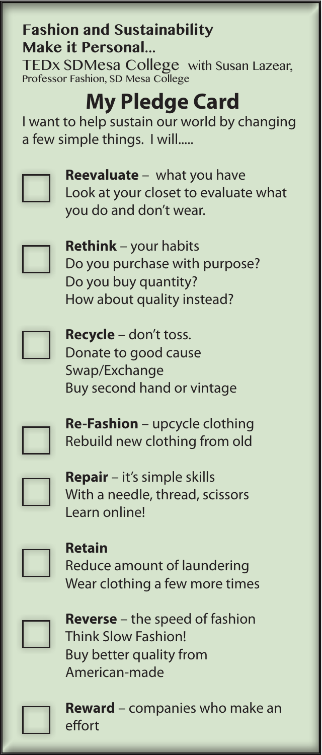#### **Fashion and Sustainability Make it Personal...**

TEDx SDMesa College with Susan Lazear, Professor Fashion, SD Mesa College

# **My Pledge Card**

I want to help sustain our world by changing a few simple things. I will.....



**Reevaluate** – what you have Look at your closet to evaluate what you do and don't wear.



**Rethink** – your habits Do you purchase with purpose? Do you buy quantity? How about quality instead?



**Recycle** – don't toss. Donate to good cause Swap/Exchange Buy second hand or vintage



**Re-Fashion** – upcycle clothing Rebuild new clothing from old



**Repair** – it's simple skills With a needle, thread, scissors Learn online!



**Retain** Reduce amount of laundering Wear clothing a few more times



**Reverse** – the speed of fashion Think Slow Fashion! Buy better quality from American-made



**Reward** – companies who make an effort